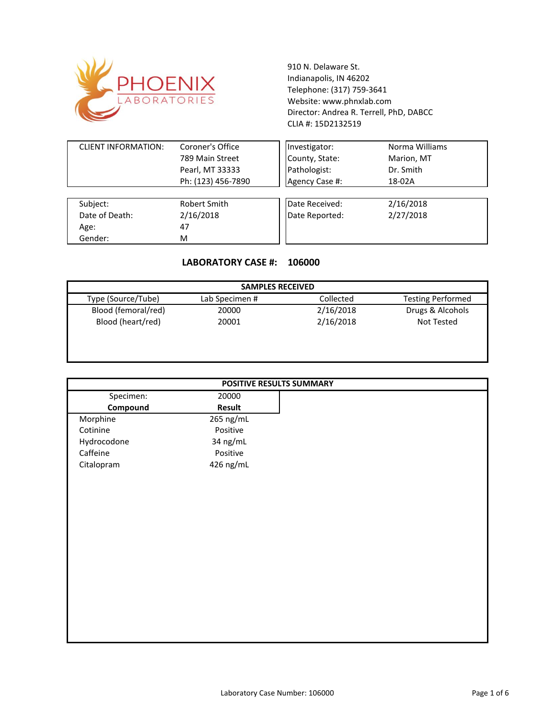

910 N. Delaware St. Indianapolis, IN 46202 Telephone: (317) 759-3641 Website: www.phnxlab.com CLIA #: 15D2132519 Director: Andrea R. Terrell, PhD, DABCC

| <b>CLIENT INFORMATION:</b> | Coroner's Office   | Investigator:  | Norma Williams |
|----------------------------|--------------------|----------------|----------------|
|                            | 789 Main Street    | County, State: | Marion, MT     |
|                            | Pearl, MT 33333    | Pathologist:   | Dr. Smith      |
|                            | Ph: (123) 456-7890 | Agency Case #: | 18-02A         |
|                            |                    |                |                |
| Subject:                   | Robert Smith       | Date Received: | 2/16/2018      |
| Date of Death:             | 2/16/2018          | Date Reported: | 2/27/2018      |
| Age:                       | 47                 |                |                |
| Gender:                    | M                  |                |                |

## **LABORATORY CASE #: 106000**

| <b>SAMPLES RECEIVED</b> |                |           |                          |
|-------------------------|----------------|-----------|--------------------------|
| Type (Source/Tube)      | Lab Specimen # | Collected | <b>Testing Performed</b> |
| Blood (femoral/red)     | 20000          | 2/16/2018 | Drugs & Alcohols         |
| Blood (heart/red)       | 20001          | 2/16/2018 | Not Tested               |
|                         |                |           |                          |
|                         |                |           |                          |

| POSITIVE RESULTS SUMMARY |           |  |  |
|--------------------------|-----------|--|--|
| Specimen:                | 20000     |  |  |
| Compound                 | Result    |  |  |
| Morphine                 | 265 ng/mL |  |  |
| Cotinine                 | Positive  |  |  |
| Hydrocodone              | 34 ng/mL  |  |  |
| Caffeine                 | Positive  |  |  |
| Citalopram               | 426 ng/mL |  |  |
|                          |           |  |  |
|                          |           |  |  |
|                          |           |  |  |
|                          |           |  |  |
|                          |           |  |  |
|                          |           |  |  |
|                          |           |  |  |
|                          |           |  |  |
|                          |           |  |  |
|                          |           |  |  |
|                          |           |  |  |
|                          |           |  |  |
|                          |           |  |  |
|                          |           |  |  |
|                          |           |  |  |
|                          |           |  |  |
|                          |           |  |  |
|                          |           |  |  |
|                          |           |  |  |
|                          |           |  |  |
|                          |           |  |  |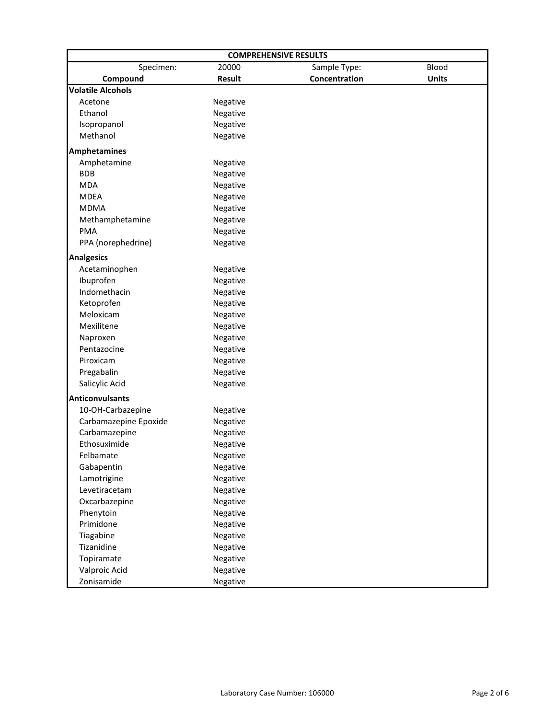| <b>COMPREHENSIVE RESULTS</b> |          |               |              |  |
|------------------------------|----------|---------------|--------------|--|
| Specimen:                    | 20000    | Sample Type:  | Blood        |  |
| Compound                     | Result   | Concentration | <b>Units</b> |  |
| <b>Volatile Alcohols</b>     |          |               |              |  |
| Acetone                      | Negative |               |              |  |
| Ethanol                      | Negative |               |              |  |
| Isopropanol                  | Negative |               |              |  |
| Methanol                     | Negative |               |              |  |
| <b>Amphetamines</b>          |          |               |              |  |
| Amphetamine                  | Negative |               |              |  |
| <b>BDB</b>                   | Negative |               |              |  |
| <b>MDA</b>                   | Negative |               |              |  |
| <b>MDEA</b>                  | Negative |               |              |  |
| <b>MDMA</b>                  | Negative |               |              |  |
| Methamphetamine              | Negative |               |              |  |
| <b>PMA</b>                   | Negative |               |              |  |
| PPA (norephedrine)           | Negative |               |              |  |
| <b>Analgesics</b>            |          |               |              |  |
| Acetaminophen                | Negative |               |              |  |
| Ibuprofen                    | Negative |               |              |  |
| Indomethacin                 | Negative |               |              |  |
| Ketoprofen                   | Negative |               |              |  |
| Meloxicam                    | Negative |               |              |  |
| Mexilitene                   | Negative |               |              |  |
| Naproxen                     | Negative |               |              |  |
| Pentazocine                  | Negative |               |              |  |
| Piroxicam                    | Negative |               |              |  |
| Pregabalin                   | Negative |               |              |  |
| Salicylic Acid               | Negative |               |              |  |
| <b>Anticonvulsants</b>       |          |               |              |  |
| 10-OH-Carbazepine            | Negative |               |              |  |
| Carbamazepine Epoxide        | Negative |               |              |  |
| Carbamazepine                | Negative |               |              |  |
| Ethosuximide                 | Negative |               |              |  |
| Felbamate                    | Negative |               |              |  |
| Gabapentin                   | Negative |               |              |  |
| Lamotrigine                  | Negative |               |              |  |
| Levetiracetam                | Negative |               |              |  |
| Oxcarbazepine                | Negative |               |              |  |
| Phenytoin                    | Negative |               |              |  |
| Primidone                    | Negative |               |              |  |
| Tiagabine                    | Negative |               |              |  |
| Tizanidine                   | Negative |               |              |  |
| Topiramate                   | Negative |               |              |  |
| Valproic Acid                | Negative |               |              |  |
| Zonisamide                   | Negative |               |              |  |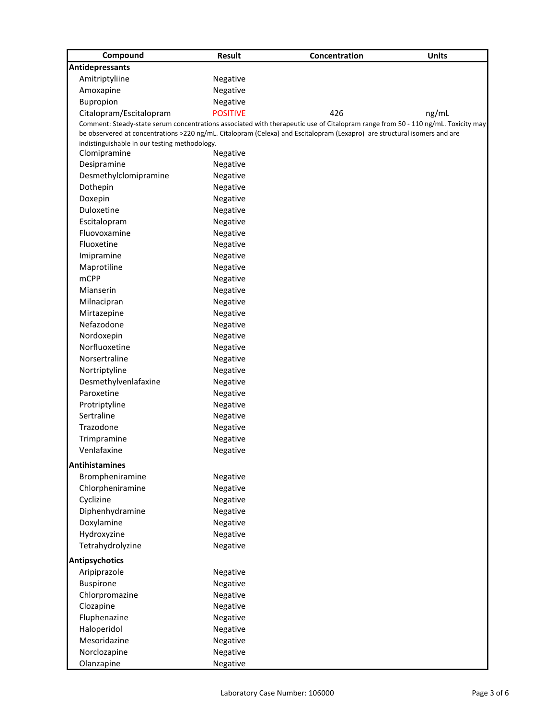| Compound                                      | <b>Result</b>   | Concentration                                                                                                                    | <b>Units</b> |
|-----------------------------------------------|-----------------|----------------------------------------------------------------------------------------------------------------------------------|--------------|
| <b>Antidepressants</b>                        |                 |                                                                                                                                  |              |
| Amitriptyliine                                | Negative        |                                                                                                                                  |              |
| Amoxapine                                     | Negative        |                                                                                                                                  |              |
| Bupropion                                     | Negative        |                                                                                                                                  |              |
| Citalopram/Escitalopram                       | <b>POSITIVE</b> | 426                                                                                                                              | ng/mL        |
|                                               |                 | Comment: Steady-state serum concentrations associated with therapeutic use of Citalopram range from 50 - 110 ng/mL. Toxicity may |              |
|                                               |                 | be observered at concentrations >220 ng/mL. Citalopram (Celexa) and Escitalopram (Lexapro) are structural isomers and are        |              |
| indistinguishable in our testing methodology. |                 |                                                                                                                                  |              |
| Clomipramine                                  | Negative        |                                                                                                                                  |              |
| Desipramine                                   | Negative        |                                                                                                                                  |              |
| Desmethylclomipramine                         | Negative        |                                                                                                                                  |              |
| Dothepin                                      | Negative        |                                                                                                                                  |              |
| Doxepin                                       | Negative        |                                                                                                                                  |              |
| Duloxetine                                    | Negative        |                                                                                                                                  |              |
| Escitalopram                                  | Negative        |                                                                                                                                  |              |
| Fluovoxamine                                  | Negative        |                                                                                                                                  |              |
| Fluoxetine                                    | Negative        |                                                                                                                                  |              |
| Imipramine                                    | Negative        |                                                                                                                                  |              |
| Maprotiline                                   | Negative        |                                                                                                                                  |              |
| <b>mCPP</b>                                   | Negative        |                                                                                                                                  |              |
| Mianserin                                     | Negative        |                                                                                                                                  |              |
| Milnacipran                                   | Negative        |                                                                                                                                  |              |
| Mirtazepine                                   | Negative        |                                                                                                                                  |              |
| Nefazodone                                    | Negative        |                                                                                                                                  |              |
| Nordoxepin                                    | Negative        |                                                                                                                                  |              |
| Norfluoxetine                                 | Negative        |                                                                                                                                  |              |
| Norsertraline                                 | Negative        |                                                                                                                                  |              |
| Nortriptyline                                 | Negative        |                                                                                                                                  |              |
| Desmethylvenlafaxine                          | Negative        |                                                                                                                                  |              |
| Paroxetine                                    | Negative        |                                                                                                                                  |              |
| Protriptyline                                 | Negative        |                                                                                                                                  |              |
| Sertraline                                    | Negative        |                                                                                                                                  |              |
| Trazodone                                     | Negative        |                                                                                                                                  |              |
| Trimpramine                                   | Negative        |                                                                                                                                  |              |
| Venlafaxine                                   | Negative        |                                                                                                                                  |              |
| <b>Antihistamines</b>                         |                 |                                                                                                                                  |              |
| Brompheniramine                               | Negative        |                                                                                                                                  |              |
| Chlorpheniramine                              | Negative        |                                                                                                                                  |              |
| Cyclizine                                     | Negative        |                                                                                                                                  |              |
| Diphenhydramine                               | Negative        |                                                                                                                                  |              |
| Doxylamine                                    | Negative        |                                                                                                                                  |              |
| Hydroxyzine                                   | Negative        |                                                                                                                                  |              |
| Tetrahydrolyzine                              | Negative        |                                                                                                                                  |              |
|                                               |                 |                                                                                                                                  |              |
| <b>Antipsychotics</b>                         |                 |                                                                                                                                  |              |
| Aripiprazole                                  | Negative        |                                                                                                                                  |              |
| <b>Buspirone</b>                              | Negative        |                                                                                                                                  |              |
| Chlorpromazine                                | Negative        |                                                                                                                                  |              |
| Clozapine                                     | Negative        |                                                                                                                                  |              |
| Fluphenazine                                  | Negative        |                                                                                                                                  |              |
| Haloperidol                                   | Negative        |                                                                                                                                  |              |
| Mesoridazine                                  | Negative        |                                                                                                                                  |              |
| Norclozapine                                  | Negative        |                                                                                                                                  |              |
| Olanzapine                                    | Negative        |                                                                                                                                  |              |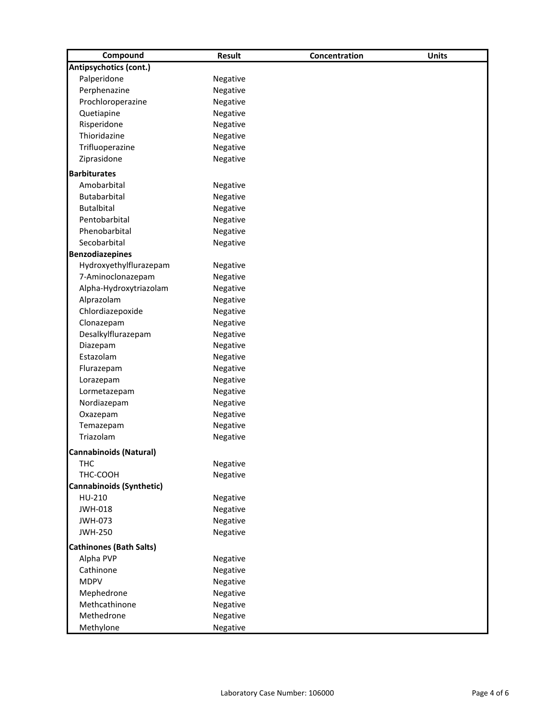| Compound                        | <b>Result</b> | Concentration | <b>Units</b> |
|---------------------------------|---------------|---------------|--------------|
| Antipsychotics (cont.)          |               |               |              |
| Palperidone                     | Negative      |               |              |
| Perphenazine                    | Negative      |               |              |
| Prochloroperazine               | Negative      |               |              |
| Quetiapine                      | Negative      |               |              |
| Risperidone                     | Negative      |               |              |
| Thioridazine                    | Negative      |               |              |
| Trifluoperazine                 | Negative      |               |              |
| Ziprasidone                     | Negative      |               |              |
| <b>Barbiturates</b>             |               |               |              |
| Amobarbital                     | Negative      |               |              |
| Butabarbital                    | Negative      |               |              |
| <b>Butalbital</b>               | Negative      |               |              |
| Pentobarbital                   | Negative      |               |              |
| Phenobarbital                   | Negative      |               |              |
| Secobarbital                    | Negative      |               |              |
| <b>Benzodiazepines</b>          |               |               |              |
| Hydroxyethylflurazepam          | Negative      |               |              |
| 7-Aminoclonazepam               | Negative      |               |              |
| Alpha-Hydroxytriazolam          |               |               |              |
|                                 | Negative      |               |              |
| Alprazolam                      | Negative      |               |              |
| Chlordiazepoxide                | Negative      |               |              |
| Clonazepam                      | Negative      |               |              |
| Desalkylflurazepam              | Negative      |               |              |
| Diazepam                        | Negative      |               |              |
| Estazolam                       | Negative      |               |              |
| Flurazepam                      | Negative      |               |              |
| Lorazepam                       | Negative      |               |              |
| Lormetazepam                    | Negative      |               |              |
| Nordiazepam                     | Negative      |               |              |
| Oxazepam                        | Negative      |               |              |
| Temazepam                       | Negative      |               |              |
| Triazolam                       | Negative      |               |              |
| <b>Cannabinoids (Natural)</b>   |               |               |              |
| <b>THC</b>                      | Negative      |               |              |
| THC-COOH                        | Negative      |               |              |
| <b>Cannabinoids (Synthetic)</b> |               |               |              |
| HU-210                          | Negative      |               |              |
| <b>JWH-018</b>                  | Negative      |               |              |
| <b>JWH-073</b>                  | Negative      |               |              |
| <b>JWH-250</b>                  | Negative      |               |              |
| <b>Cathinones (Bath Salts)</b>  |               |               |              |
| Alpha PVP                       | Negative      |               |              |
| Cathinone                       | Negative      |               |              |
| <b>MDPV</b>                     | Negative      |               |              |
| Mephedrone                      | Negative      |               |              |
| Methcathinone                   | Negative      |               |              |
| Methedrone                      | Negative      |               |              |
| Methylone                       | Negative      |               |              |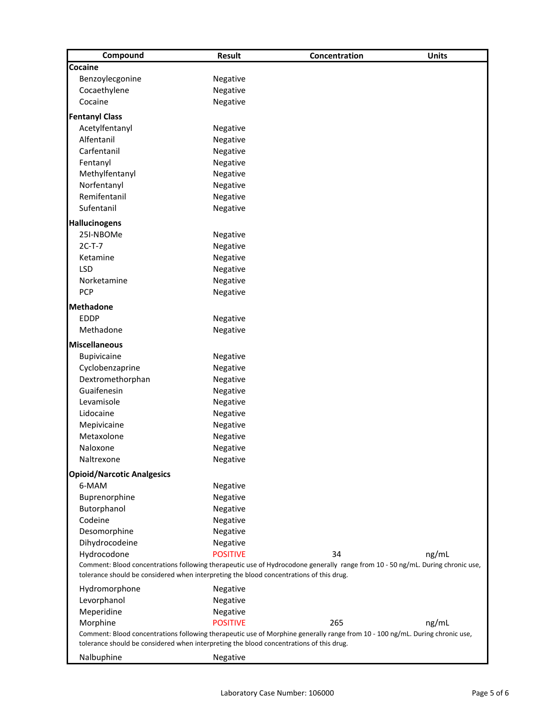| Compound                                                                                                                                                                                                                  | <b>Result</b>        | Concentration                                                                                                                | <b>Units</b> |  |
|---------------------------------------------------------------------------------------------------------------------------------------------------------------------------------------------------------------------------|----------------------|------------------------------------------------------------------------------------------------------------------------------|--------------|--|
| Cocaine                                                                                                                                                                                                                   |                      |                                                                                                                              |              |  |
| Benzoylecgonine                                                                                                                                                                                                           | Negative             |                                                                                                                              |              |  |
| Cocaethylene                                                                                                                                                                                                              | Negative             |                                                                                                                              |              |  |
| Cocaine                                                                                                                                                                                                                   | Negative             |                                                                                                                              |              |  |
| <b>Fentanyl Class</b>                                                                                                                                                                                                     |                      |                                                                                                                              |              |  |
| Acetylfentanyl                                                                                                                                                                                                            | Negative             |                                                                                                                              |              |  |
| Alfentanil                                                                                                                                                                                                                | Negative             |                                                                                                                              |              |  |
| Carfentanil                                                                                                                                                                                                               | Negative             |                                                                                                                              |              |  |
| Fentanyl                                                                                                                                                                                                                  | Negative             |                                                                                                                              |              |  |
| Methylfentanyl                                                                                                                                                                                                            | Negative             |                                                                                                                              |              |  |
| Norfentanyl                                                                                                                                                                                                               | Negative             |                                                                                                                              |              |  |
| Remifentanil                                                                                                                                                                                                              | Negative             |                                                                                                                              |              |  |
| Sufentanil                                                                                                                                                                                                                | Negative             |                                                                                                                              |              |  |
| <b>Hallucinogens</b>                                                                                                                                                                                                      |                      |                                                                                                                              |              |  |
| 25I-NBOMe                                                                                                                                                                                                                 | Negative             |                                                                                                                              |              |  |
| $2C-T-7$                                                                                                                                                                                                                  | Negative             |                                                                                                                              |              |  |
| Ketamine                                                                                                                                                                                                                  | Negative             |                                                                                                                              |              |  |
| <b>LSD</b>                                                                                                                                                                                                                | Negative             |                                                                                                                              |              |  |
| Norketamine                                                                                                                                                                                                               | Negative             |                                                                                                                              |              |  |
| <b>PCP</b>                                                                                                                                                                                                                | Negative             |                                                                                                                              |              |  |
| <b>Methadone</b>                                                                                                                                                                                                          |                      |                                                                                                                              |              |  |
| <b>EDDP</b>                                                                                                                                                                                                               |                      |                                                                                                                              |              |  |
| Methadone                                                                                                                                                                                                                 | Negative<br>Negative |                                                                                                                              |              |  |
|                                                                                                                                                                                                                           |                      |                                                                                                                              |              |  |
| <b>Miscellaneous</b>                                                                                                                                                                                                      |                      |                                                                                                                              |              |  |
| Bupivicaine                                                                                                                                                                                                               | Negative             |                                                                                                                              |              |  |
| Cyclobenzaprine                                                                                                                                                                                                           | Negative             |                                                                                                                              |              |  |
| Dextromethorphan                                                                                                                                                                                                          | Negative             |                                                                                                                              |              |  |
| Guaifenesin                                                                                                                                                                                                               | Negative             |                                                                                                                              |              |  |
| Levamisole                                                                                                                                                                                                                | Negative             |                                                                                                                              |              |  |
| Lidocaine                                                                                                                                                                                                                 | Negative             |                                                                                                                              |              |  |
| Mepivicaine                                                                                                                                                                                                               | Negative             |                                                                                                                              |              |  |
| Metaxolone                                                                                                                                                                                                                | Negative             |                                                                                                                              |              |  |
| Naloxone                                                                                                                                                                                                                  | Negative             |                                                                                                                              |              |  |
| Naltrexone                                                                                                                                                                                                                | Negative             |                                                                                                                              |              |  |
| <b>Opioid/Narcotic Analgesics</b>                                                                                                                                                                                         |                      |                                                                                                                              |              |  |
| 6-MAM                                                                                                                                                                                                                     | Negative             |                                                                                                                              |              |  |
| Buprenorphine                                                                                                                                                                                                             | Negative             |                                                                                                                              |              |  |
| Butorphanol                                                                                                                                                                                                               | Negative             |                                                                                                                              |              |  |
| Codeine                                                                                                                                                                                                                   | Negative             |                                                                                                                              |              |  |
| Desomorphine                                                                                                                                                                                                              | Negative             |                                                                                                                              |              |  |
| Dihydrocodeine                                                                                                                                                                                                            | Negative             |                                                                                                                              |              |  |
| Hydrocodone                                                                                                                                                                                                               | <b>POSITIVE</b>      | 34                                                                                                                           | ng/mL        |  |
| Comment: Blood concentrations following therapeutic use of Hydrocodone generally range from 10 - 50 ng/mL. During chronic use,<br>tolerance should be considered when interpreting the blood concentrations of this drug. |                      |                                                                                                                              |              |  |
| Hydromorphone                                                                                                                                                                                                             | Negative             |                                                                                                                              |              |  |
| Levorphanol                                                                                                                                                                                                               | Negative             |                                                                                                                              |              |  |
| Meperidine                                                                                                                                                                                                                | Negative             |                                                                                                                              |              |  |
| Morphine                                                                                                                                                                                                                  | <b>POSITIVE</b>      | 265                                                                                                                          | ng/mL        |  |
| tolerance should be considered when interpreting the blood concentrations of this drug.                                                                                                                                   |                      | Comment: Blood concentrations following therapeutic use of Morphine generally range from 10 - 100 ng/mL. During chronic use, |              |  |
| Nalbuphine                                                                                                                                                                                                                | Negative             |                                                                                                                              |              |  |